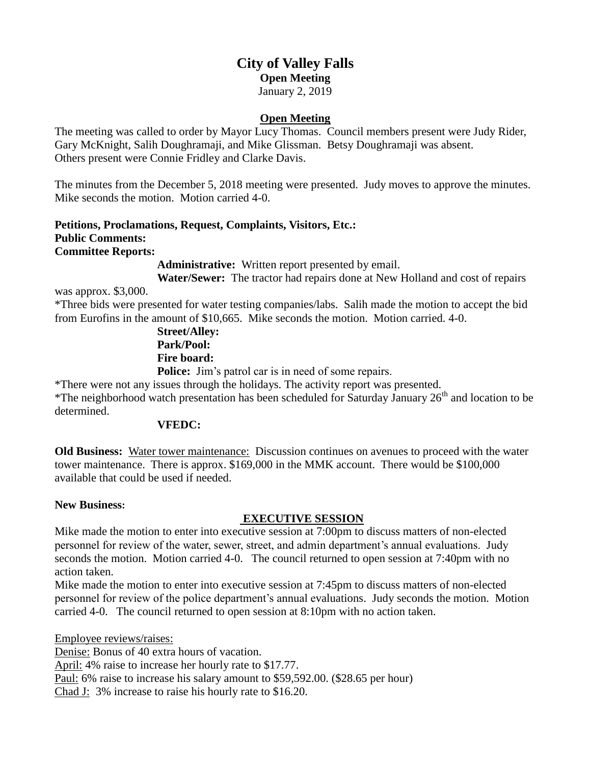# **City of Valley Falls Open Meeting** January 2, 2019

#### **Open Meeting**

The meeting was called to order by Mayor Lucy Thomas. Council members present were Judy Rider, Gary McKnight, Salih Doughramaji, and Mike Glissman. Betsy Doughramaji was absent. Others present were Connie Fridley and Clarke Davis.

The minutes from the December 5, 2018 meeting were presented. Judy moves to approve the minutes. Mike seconds the motion. Motion carried 4-0.

#### **Petitions, Proclamations, Request, Complaints, Visitors, Etc.: Public Comments: Committee Reports:**

**Administrative:** Written report presented by email.

**Water/Sewer:** The tractor had repairs done at New Holland and cost of repairs

was approx. \$3,000. \*Three bids were presented for water testing companies/labs. Salih made the motion to accept the bid

from Eurofins in the amount of \$10,665. Mike seconds the motion. Motion carried. 4-0.

**Street/Alley: Park/Pool: Fire board:**

Police: Jim's patrol car is in need of some repairs. \*There were not any issues through the holidays. The activity report was presented.

\*The neighborhood watch presentation has been scheduled for Saturday January 26th and location to be determined.

#### **VFEDC:**

**Old Business:** Water tower maintenance: Discussion continues on avenues to proceed with the water tower maintenance. There is approx. \$169,000 in the MMK account. There would be \$100,000 available that could be used if needed.

# **New Business:**

# **EXECUTIVE SESSION**

Mike made the motion to enter into executive session at 7:00pm to discuss matters of non-elected personnel for review of the water, sewer, street, and admin department's annual evaluations. Judy seconds the motion. Motion carried 4-0. The council returned to open session at 7:40pm with no action taken.

Mike made the motion to enter into executive session at 7:45pm to discuss matters of non-elected personnel for review of the police department's annual evaluations. Judy seconds the motion. Motion carried 4-0. The council returned to open session at 8:10pm with no action taken.

Employee reviews/raises:

Denise: Bonus of 40 extra hours of vacation.

April: 4% raise to increase her hourly rate to \$17.77.

Paul: 6% raise to increase his salary amount to \$59,592.00. (\$28.65 per hour)

Chad J: 3% increase to raise his hourly rate to \$16.20.